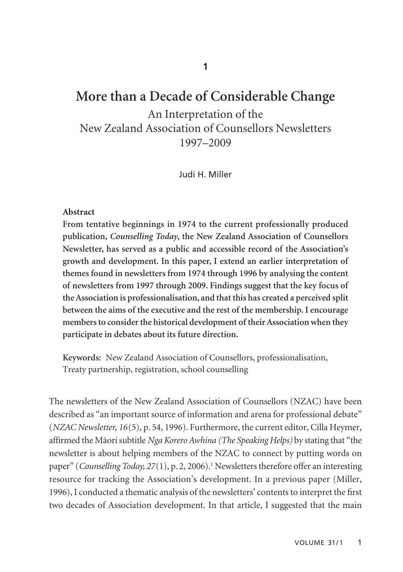# **More than a Decade of Considerable Change**

An Interpretation of the New Zealand Association of Counsellors Newsletters 1997–2009

Judi H. Miller

### **Abstract**

**From tentative beginnings in 1974 to the current professionally produced publication,** *Counselling Today***, the New Zealand Association of Counsellors Newsletter, has served as a public and accessible record of the Association's growth and development. In this paper, I extend an earlier interpretation of themes found in newsletters from 1974 through 1996 by analysing the content of newsletters from 1997 through 2009. Findings suggest that the key focus of the Association is professionalisation, and that this has created a perceived split between the aims of the executive and the rest of the membership. I encourage members to consider the historical development of their Association when they participate in debates about its future direction.** 

**Keywords:** New Zealand Association of Counsellors, professionalisation, Treaty partnership, registration, school counselling

The newsletters of the New Zealand Association of Counsellors (NZAC) have been described as "an important source of information and arena for professional debate" (*NZAC Newsletter, 16*(5), p. 54, 1996). Furthermore, the current editor, Cilla Heymer, affirmed the Mäori subtitle *Nga Korero Awhina (The Speaking Helps)* by stating that "the newsletter is about helping members of the NZAC to connect by putting words on paper" (*Counselling Today, 27*(1), p. 2, 2006).<sup>1</sup> Newsletters therefore offer an interesting resource for tracking the Association's development. In a previous paper (Miller, 1996), I conducted a thematic analysis of the newsletters' contents to interpret the first two decades of Association development. In that article, I suggested that the main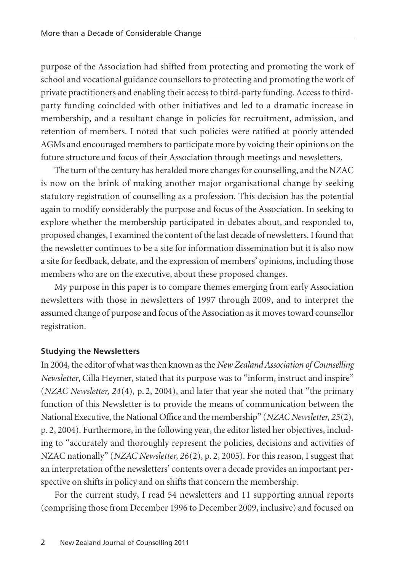purpose of the Association had shifted from protecting and promoting the work of school and vocational guidance counsellors to protecting and promoting the work of private practitioners and enabling their access to third-party funding. Access to thirdparty funding coincided with other initiatives and led to a dramatic increase in membership, and a resultant change in policies for recruitment, admission, and retention of members. I noted that such policies were ratified at poorly attended AGMs and encouraged members to participate more by voicing their opinions on the future structure and focus of their Association through meetings and newsletters.

The turn of the century has heralded more changes for counselling, and the NZAC is now on the brink of making another major organisational change by seeking statutory registration of counselling as a profession. This decision has the potential again to modify considerably the purpose and focus of the Association. In seeking to explore whether the membership participated in debates about, and responded to, proposed changes, I examined the content of the last decade of newsletters. I found that the newsletter continues to be a site for information dissemination but it is also now a site for feedback, debate, and the expression of members' opinions, including those members who are on the executive, about these proposed changes.

My purpose in this paper is to compare themes emerging from early Association newsletters with those in newsletters of 1997 through 2009, and to interpret the assumed change of purpose and focus of the Association as it moves toward counsellor registration.

### **Studying the Newsletters**

In 2004, the editor of what was then known as the *New Zealand Association of Counselling Newsletter*, Cilla Heymer, stated that its purpose was to "inform, instruct and inspire" (*NZAC Newsletter, 24*(4), p. 2, 2004), and later that year she noted that "the primary function of this Newsletter is to provide the means of communication between the National Executive, the National Office and the membership" (*NZAC Newsletter, 25*(2), p. 2, 2004). Furthermore, in the following year, the editor listed her objectives, including to "accurately and thoroughly represent the policies, decisions and activities of NZAC nationally" (*NZAC Newsletter, 26*(2), p. 2, 2005). For this reason, I suggest that an interpretation of the newsletters' contents over a decade provides an important perspective on shifts in policy and on shifts that concern the membership.

For the current study, I read 54 newsletters and 11 supporting annual reports (comprising those from December 1996 to December 2009, inclusive) and focused on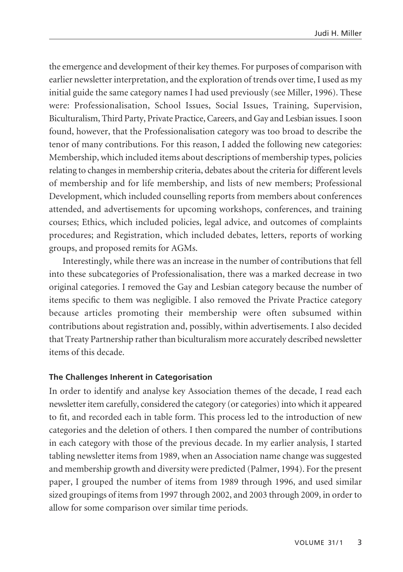the emergence and development of their key themes. For purposes of comparison with earlier newsletter interpretation, and the exploration of trends over time, I used as my initial guide the same category names I had used previously (see Miller, 1996). These were: Professionalisation, School Issues, Social Issues, Training, Supervision, Biculturalism, Third Party, Private Practice, Careers, and Gay and Lesbian issues. I soon found, however, that the Professionalisation category was too broad to describe the tenor of many contributions. For this reason, I added the following new categories: Membership, which included items about descriptions of membership types, policies relating to changes in membership criteria, debates about the criteria for different levels of membership and for life membership, and lists of new members; Professional Development, which included counselling reports from members about conferences attended, and advertisements for upcoming workshops, conferences, and training courses; Ethics, which included policies, legal advice, and outcomes of complaints procedures; and Registration, which included debates, letters, reports of working groups, and proposed remits for AGMs.

Interestingly, while there was an increase in the number of contributions that fell into these subcategories of Professionalisation, there was a marked decrease in two original categories. I removed the Gay and Lesbian category because the number of items specific to them was negligible. I also removed the Private Practice category because articles promoting their membership were often subsumed within contributions about registration and, possibly, within advertisements. I also decided that Treaty Partnership rather than biculturalism more accurately described newsletter items of this decade.

### **The Challenges Inherent in Categorisation**

In order to identify and analyse key Association themes of the decade, I read each newsletter item carefully, considered the category (or categories) into which it appeared to fit, and recorded each in table form. This process led to the introduction of new categories and the deletion of others. I then compared the number of contributions in each category with those of the previous decade. In my earlier analysis, I started tabling newsletter items from 1989, when an Association name change was suggested and membership growth and diversity were predicted (Palmer, 1994). For the present paper, I grouped the number of items from 1989 through 1996, and used similar sized groupings of items from 1997 through 2002, and 2003 through 2009, in order to allow for some comparison over similar time periods.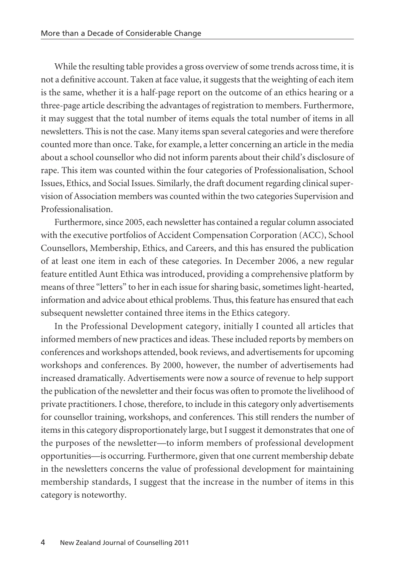While the resulting table provides a gross overview of some trends across time, it is not a definitive account. Taken at face value, it suggests that the weighting of each item is the same, whether it is a half-page report on the outcome of an ethics hearing or a three-page article describing the advantages of registration to members. Furthermore, it may suggest that the total number of items equals the total number of items in all newsletters. This is not the case. Many items span several categories and were therefore counted more than once. Take, for example, a letter concerning an article in the media about a school counsellor who did not inform parents about their child's disclosure of rape. This item was counted within the four categories of Professionalisation, School Issues, Ethics, and Social Issues. Similarly, the draft document regarding clinical supervision of Association members was counted within the two categories Supervision and Professionalisation.

Furthermore, since 2005, each newsletter has contained a regular column associated with the executive portfolios of Accident Compensation Corporation (ACC), School Counsellors, Membership, Ethics, and Careers, and this has ensured the publication of at least one item in each of these categories. In December 2006, a new regular feature entitled Aunt Ethica was introduced, providing a comprehensive platform by means of three "letters" to her in each issue for sharing basic, sometimes light-hearted, information and advice about ethical problems. Thus, this feature has ensured that each subsequent newsletter contained three items in the Ethics category.

In the Professional Development category, initially I counted all articles that informed members of new practices and ideas. These included reports by members on conferences and workshops attended, book reviews, and advertisements for upcoming workshops and conferences. By 2000, however, the number of advertisements had increased dramatically. Advertisements were now a source of revenue to help support the publication of the newsletter and their focus was often to promote the livelihood of private practitioners. I chose, therefore, to include in this category only advertisements for counsellor training, workshops, and conferences. This still renders the number of items in this category disproportionately large, but I suggest it demonstrates that one of the purposes of the newsletter—to inform members of professional development opportunities—is occurring. Furthermore, given that one current membership debate in the newsletters concerns the value of professional development for maintaining membership standards, I suggest that the increase in the number of items in this category is noteworthy.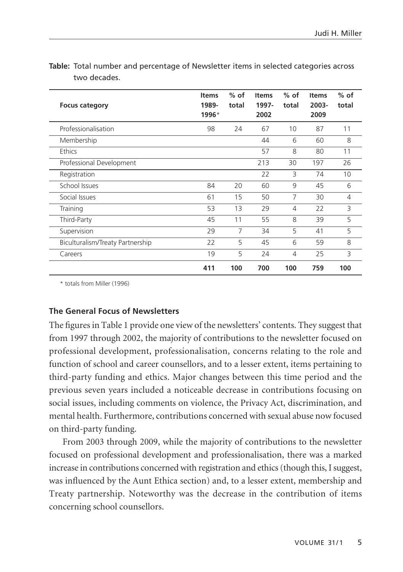| <b>Focus category</b>            | <b>Items</b><br>1989-<br>1996* | $%$ of<br>total | <b>Items</b><br>1997-<br>2002 | $%$ of<br>total | <b>Items</b><br>2003-<br>2009 | $%$ of<br>total |
|----------------------------------|--------------------------------|-----------------|-------------------------------|-----------------|-------------------------------|-----------------|
| Professionalisation              | 98                             | 24              | 67                            | 10              | 87                            | 11              |
| Membership                       |                                |                 | 44                            | 6               | 60                            | 8               |
| Ethics                           |                                |                 | 57                            | 8               | 80                            | 11              |
| Professional Development         |                                |                 | 213                           | 30              | 197                           | 26              |
| Registration                     |                                |                 | 22                            | $\mathcal{L}$   | 74                            | 10              |
| School Issues                    | 84                             | 20              | 60                            | 9               | 45                            | 6               |
| Social Issues                    | 61                             | 15              | 50                            | $\overline{7}$  | 30                            | $\overline{4}$  |
| Training                         | 53                             | 13              | 29                            | $\overline{4}$  | 22                            | 3               |
| Third-Party                      | 45                             | 11              | 55                            | 8               | 39                            | 5               |
| Supervision                      | 29                             | 7               | 34                            | 5               | 41                            | 5               |
| Biculturalism/Treaty Partnership | 22                             | 5               | 45                            | 6               | 59                            | 8               |
| Careers                          | 19                             | 5               | 24                            | 4               | 25                            | 3               |
|                                  | 411                            | 100             | 700                           | 100             | 759                           | 100             |

**Table:** Total number and percentage of Newsletter items in selected categories across two decades.

\* totals from Miller (1996)

# **The General Focus of Newsletters**

The figures in Table 1 provide one view of the newsletters' contents. They suggest that from 1997 through 2002, the majority of contributions to the newsletter focused on professional development, professionalisation, concerns relating to the role and function of school and career counsellors, and to a lesser extent, items pertaining to third-party funding and ethics. Major changes between this time period and the previous seven years included a noticeable decrease in contributions focusing on social issues, including comments on violence, the Privacy Act, discrimination, and mental health. Furthermore, contributions concerned with sexual abuse now focused on third-party funding.

From 2003 through 2009, while the majority of contributions to the newsletter focused on professional development and professionalisation, there was a marked increase in contributions concerned with registration and ethics (though this, I suggest, was influenced by the Aunt Ethica section) and, to a lesser extent, membership and Treaty partnership. Noteworthy was the decrease in the contribution of items concerning school counsellors.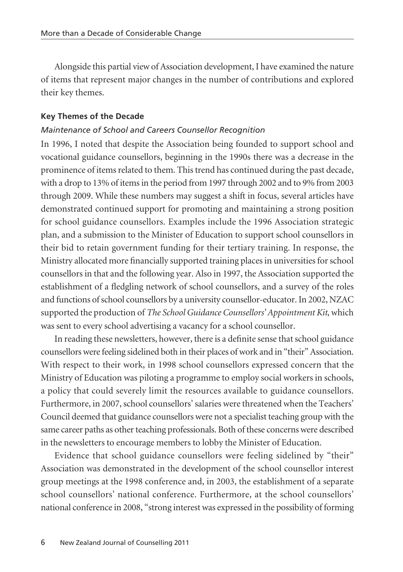Alongside this partial view of Association development, I have examined the nature of items that represent major changes in the number of contributions and explored their key themes.

### **Key Themes of the Decade**

### *Maintenance of School and Careers Counsellor Recognition*

In 1996, I noted that despite the Association being founded to support school and vocational guidance counsellors, beginning in the 1990s there was a decrease in the prominence of items related to them. This trend has continued during the past decade, with a drop to 13% of items in the period from 1997 through 2002 and to 9% from 2003 through 2009. While these numbers may suggest a shift in focus, several articles have demonstrated continued support for promoting and maintaining a strong position for school guidance counsellors. Examples include the 1996 Association strategic plan, and a submission to the Minister of Education to support school counsellors in their bid to retain government funding for their tertiary training. In response, the Ministry allocated more financially supported training places in universities for school counsellors in that and the following year. Also in 1997, the Association supported the establishment of a fledgling network of school counsellors, and a survey of the roles and functions of school counsellors by a university counsellor-educator. In 2002, NZAC supported the production of *The School Guidance Counsellors' Appointment Kit*, which was sent to every school advertising a vacancy for a school counsellor.

In reading these newsletters, however, there is a definite sense that school guidance counsellors were feeling sidelined both in their places of work and in "their" Association. With respect to their work, in 1998 school counsellors expressed concern that the Ministry of Education was piloting a programme to employ social workers in schools, a policy that could severely limit the resources available to guidance counsellors. Furthermore, in 2007, school counsellors' salaries were threatened when the Teachers' Council deemed that guidance counsellors were not a specialist teaching group with the same career paths as other teaching professionals. Both of these concerns were described in the newsletters to encourage members to lobby the Minister of Education.

Evidence that school guidance counsellors were feeling sidelined by "their" Association was demonstrated in the development of the school counsellor interest group meetings at the 1998 conference and, in 2003, the establishment of a separate school counsellors' national conference. Furthermore, at the school counsellors' national conference in 2008, "strong interest was expressed in the possibility of forming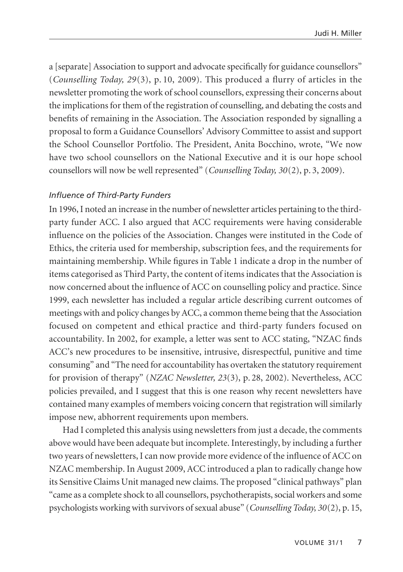a [separate] Association to support and advocate specifically for guidance counsellors" (*Counselling Today, 29*(3), p. 10, 2009). This produced a flurry of articles in the newsletter promoting the work of school counsellors, expressing their concerns about the implications for them of the registration of counselling, and debating the costs and benefits of remaining in the Association. The Association responded by signalling a proposal to form a Guidance Counsellors' Advisory Committee to assist and support the School Counsellor Portfolio. The President, Anita Bocchino, wrote, "We now have two school counsellors on the National Executive and it is our hope school counsellors will now be well represented" (*Counselling Today, 30*(2), p. 3, 2009).

### *Influence of Third-Party Funders*

In 1996, I noted an increase in the number of newsletter articles pertaining to the thirdparty funder ACC. I also argued that ACC requirements were having considerable influence on the policies of the Association. Changes were instituted in the Code of Ethics, the criteria used for membership, subscription fees, and the requirements for maintaining membership. While figures in Table 1 indicate a drop in the number of items categorised as Third Party, the content of items indicates that the Association is now concerned about the influence of ACC on counselling policy and practice. Since 1999, each newsletter has included a regular article describing current outcomes of meetings with and policy changes by ACC, a common theme being that the Association focused on competent and ethical practice and third-party funders focused on accountability. In 2002, for example, a letter was sent to ACC stating, "NZAC finds ACC's new procedures to be insensitive, intrusive, disrespectful, punitive and time consuming" and "The need for accountability has overtaken the statutory requirement for provision of therapy" (*NZAC Newsletter, 23*(3), p. 28, 2002). Nevertheless, ACC policies prevailed, and I suggest that this is one reason why recent newsletters have contained many examples of members voicing concern that registration will similarly impose new, abhorrent requirements upon members.

Had I completed this analysis using newsletters from just a decade, the comments above would have been adequate but incomplete. Interestingly, by including a further two years of newsletters, I can now provide more evidence of the influence of ACC on NZAC membership. In August 2009, ACC introduced a plan to radically change how its Sensitive Claims Unit managed new claims. The proposed "clinical pathways" plan "came as a complete shock to all counsellors, psychotherapists, social workers and some psychologists working with survivors of sexual abuse" (*Counselling Today, 30*(2), p. 15,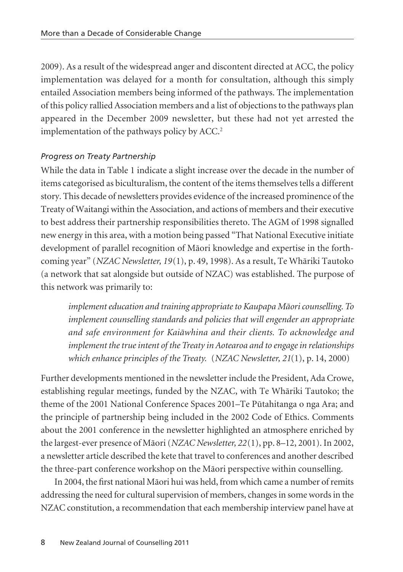2009). As a result of the widespread anger and discontent directed at ACC, the policy implementation was delayed for a month for consultation, although this simply entailed Association members being informed of the pathways. The implementation of this policy rallied Association members and a list of objections to the pathways plan appeared in the December 2009 newsletter, but these had not yet arrested the implementation of the pathways policy by ACC.<sup>2</sup>

# *Progress on Treaty Partnership*

While the data in Table 1 indicate a slight increase over the decade in the number of items categorised as biculturalism, the content of the items themselves tells a different story. This decade of newsletters provides evidence of the increased prominence of the Treaty of Waitangi within the Association, and actions of members and their executive to best address their partnership responsibilities thereto. The AGM of 1998 signalled new energy in this area, with a motion being passed "That National Executive initiate development of parallel recognition of Māori knowledge and expertise in the forthcoming year" (*NZAC Newsletter, 19*(1), p. 49, 1998). As a result, Te Whäriki Tautoko (a network that sat alongside but outside of NZAC) was established. The purpose of this network was primarily to:

*implement education and training appropriate to Kaupapa Mäori counselling. To implement counselling standards and policies that will engender an appropriate and safe environment for Kaiäwhina and their clients. To acknowledge and implement the true intent of the Treaty in Aotearoa and to engage in relationships which enhance principles of the Treaty.* (*NZAC Newsletter, 21*(1), p. 14, 2000)

Further developments mentioned in the newsletter include the President, Ada Crowe, establishing regular meetings, funded by the NZAC, with Te Whäriki Tautoko; the theme of the 2001 National Conference Spaces 2001–Te Pütahitanga o nga Ara; and the principle of partnership being included in the 2002 Code of Ethics. Comments about the 2001 conference in the newsletter highlighted an atmosphere enriched by the largest-ever presence of Mäori (*NZAC Newsletter, 22*(1), pp. 8–12, 2001). In 2002, a newsletter article described the kete that travel to conferences and another described the three-part conference workshop on the Mäori perspective within counselling.

In 2004, the first national Mäori hui was held, from which came a number of remits addressing the need for cultural supervision of members, changes in some words in the NZAC constitution, a recommendation that each membership interview panel have at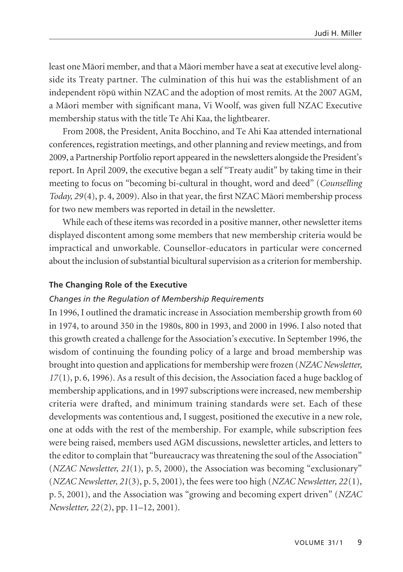least one Mäori member, and that a Mäori member have a seat at executive level alongside its Treaty partner. The culmination of this hui was the establishment of an independent röpü within NZAC and the adoption of most remits. At the 2007 AGM, a Mäori member with significant mana, Vi Woolf, was given full NZAC Executive membership status with the title Te Ahi Kaa, the lightbearer.

From 2008, the President, Anita Bocchino, and Te Ahi Kaa attended international conferences, registration meetings, and other planning and review meetings, and from 2009, a Partnership Portfolio report appeared in the newsletters alongside the President's report. In April 2009, the executive began a self "Treaty audit" by taking time in their meeting to focus on "becoming bi-cultural in thought, word and deed" (*Counselling Today, 29*(4), p. 4, 2009). Also in that year, the first NZAC Mäori membership process for two new members was reported in detail in the newsletter.

While each of these items was recorded in a positive manner, other newsletter items displayed discontent among some members that new membership criteria would be impractical and unworkable. Counsellor-educators in particular were concerned about the inclusion of substantial bicultural supervision as a criterion for membership.

### **The Changing Role of the Executive**

### *Changes in the Regulation of Membership Requirements*

In 1996, I outlined the dramatic increase in Association membership growth from 60 in 1974, to around 350 in the 1980s, 800 in 1993, and 2000 in 1996. I also noted that this growth created a challenge for the Association's executive. In September 1996, the wisdom of continuing the founding policy of a large and broad membership was brought into question and applications for membership were frozen (*NZAC Newsletter, 17*(1), p. 6, 1996). As a result of this decision, the Association faced a huge backlog of membership applications, and in 1997 subscriptions were increased, new membership criteria were drafted, and minimum training standards were set. Each of these developments was contentious and, I suggest, positioned the executive in a new role, one at odds with the rest of the membership. For example, while subscription fees were being raised, members used AGM discussions, newsletter articles, and letters to the editor to complain that "bureaucracy was threatening the soul of the Association" (*NZAC Newsletter, 21*(1), p. 5, 2000), the Association was becoming "exclusionary" (*NZAC Newsletter, 21*(3), p. 5, 2001), the fees were too high (*NZAC Newsletter, 22*(1), p. 5, 2001), and the Association was "growing and becoming expert driven" (*NZAC Newsletter, 22*(2), pp. 11–12, 2001).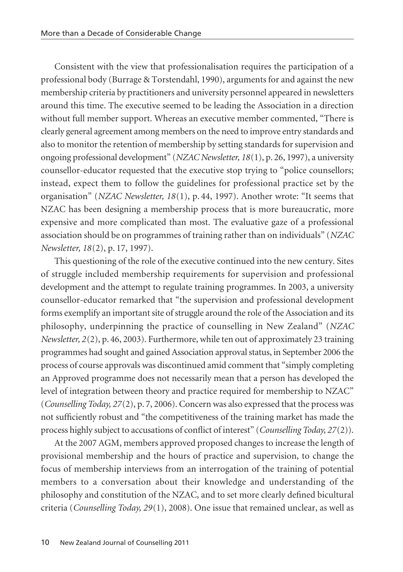Consistent with the view that professionalisation requires the participation of a professional body (Burrage & Torstendahl, 1990), arguments for and against the new membership criteria by practitioners and university personnel appeared in newsletters around this time. The executive seemed to be leading the Association in a direction without full member support. Whereas an executive member commented, "There is clearly general agreement among members on the need to improve entry standards and also to monitor the retention of membership by setting standards for supervision and ongoing professional development" (*NZAC Newsletter, 18*(1), p. 26, 1997), a university counsellor-educator requested that the executive stop trying to "police counsellors; instead, expect them to follow the guidelines for professional practice set by the organisation" (*NZAC Newsletter, 18*(1), p. 44, 1997). Another wrote: "It seems that NZAC has been designing a membership process that is more bureaucratic, more expensive and more complicated than most. The evaluative gaze of a professional association should be on programmes of training rather than on individuals" (*NZAC Newsletter, 18*(2), p. 17, 1997).

This questioning of the role of the executive continued into the new century. Sites of struggle included membership requirements for supervision and professional development and the attempt to regulate training programmes. In 2003, a university counsellor-educator remarked that "the supervision and professional development forms exemplify an important site of struggle around the role of the Association and its philosophy, underpinning the practice of counselling in New Zealand" (*NZAC Newsletter, 2*(2), p. 46, 2003). Furthermore, while ten out of approximately 23 training programmes had sought and gained Association approval status, in September 2006 the process of course approvals was discontinued amid comment that "simply completing an Approved programme does not necessarily mean that a person has developed the level of integration between theory and practice required for membership to NZAC" (*Counselling Today, 27*(2), p. 7, 2006). Concern was also expressed that the process was not sufficiently robust and "the competitiveness of the training market has made the process highly subject to accusations of conflict of interest" (*Counselling Today, 27*(2)).

At the 2007 AGM, members approved proposed changes to increase the length of provisional membership and the hours of practice and supervision, to change the focus of membership interviews from an interrogation of the training of potential members to a conversation about their knowledge and understanding of the philosophy and constitution of the NZAC, and to set more clearly defined bicultural criteria (*Counselling Today, 29*(1), 2008). One issue that remained unclear, as well as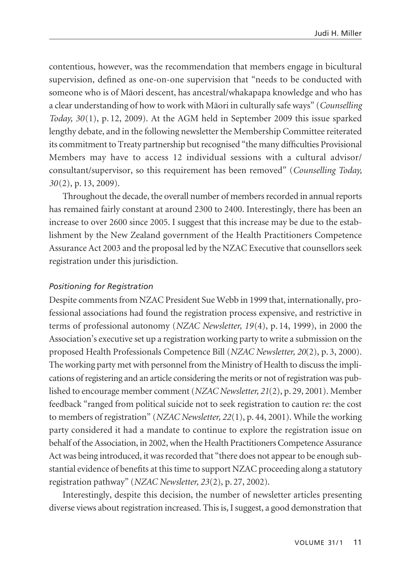contentious, however, was the recommendation that members engage in bicultural supervision, defined as one-on-one supervision that "needs to be conducted with someone who is of Mäori descent, has ancestral/whakapapa knowledge and who has a clear understanding of how to work with Mäori in culturally safe ways" (*Counselling Today, 30*(1), p. 12, 2009). At the AGM held in September 2009 this issue sparked lengthy debate, and in the following newsletter the Membership Committee reiterated its commitment to Treaty partnership but recognised "the many difficulties Provisional Members may have to access 12 individual sessions with a cultural advisor/ consultant/supervisor, so this requirement has been removed" (*Counselling Today, 30*(2), p. 13, 2009).

Throughout the decade, the overall number of members recorded in annual reports has remained fairly constant at around 2300 to 2400. Interestingly, there has been an increase to over 2600 since 2005. I suggest that this increase may be due to the establishment by the New Zealand government of the Health Practitioners Competence Assurance Act 2003 and the proposal led by the NZAC Executive that counsellors seek registration under this jurisdiction.

### *Positioning for Registration*

Despite comments from NZAC President Sue Webb in 1999 that, internationally, professional associations had found the registration process expensive, and restrictive in terms of professional autonomy (*NZAC Newsletter, 19*(4), p. 14, 1999), in 2000 the Association's executive set up a registration working party to write a submission on the proposed Health Professionals Competence Bill (*NZAC Newsletter, 20*(2), p. 3, 2000). The working party met with personnel from the Ministry of Health to discuss the implications of registering and an article considering the merits or not of registration was published to encourage member comment (*NZAC Newsletter, 21*(2), p. 29, 2001). Member feedback "ranged from political suicide not to seek registration to caution re: the cost to members of registration" (*NZAC Newsletter, 22*(1), p. 44, 2001). While the working party considered it had a mandate to continue to explore the registration issue on behalf of the Association, in 2002, when the Health Practitioners Competence Assurance Act was being introduced, it was recorded that "there does not appear to be enough substantial evidence of benefits at this time to support NZAC proceeding along a statutory registration pathway" (*NZAC Newsletter, 23*(2), p. 27, 2002).

Interestingly, despite this decision, the number of newsletter articles presenting diverse views about registration increased. This is, I suggest, a good demonstration that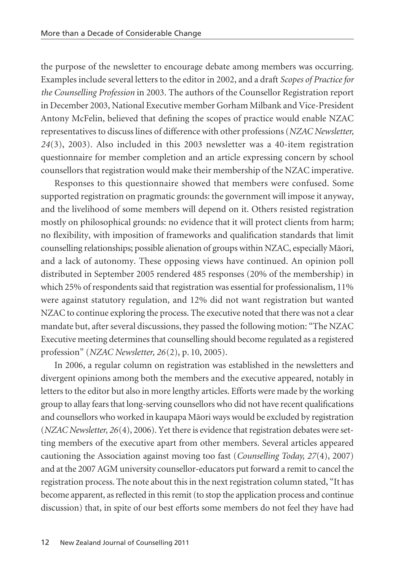the purpose of the newsletter to encourage debate among members was occurring. Examples include several letters to the editor in 2002, and a draft *Scopes of Practice for the Counselling Profession* in 2003. The authors of the Counsellor Registration report in December 2003, National Executive member Gorham Milbank and Vice-President Antony McFelin, believed that defining the scopes of practice would enable NZAC representatives to discuss lines of difference with other professions (*NZAC Newsletter, 24*(3), 2003). Also included in this 2003 newsletter was a 40-item registration questionnaire for member completion and an article expressing concern by school counsellors that registration would make their membership of the NZAC imperative.

Responses to this questionnaire showed that members were confused. Some supported registration on pragmatic grounds: the government will impose it anyway, and the livelihood of some members will depend on it. Others resisted registration mostly on philosophical grounds: no evidence that it will protect clients from harm; no flexibility, with imposition of frameworks and qualification standards that limit counselling relationships; possible alienation of groups within NZAC, especially Mäori, and a lack of autonomy. These opposing views have continued. An opinion poll distributed in September 2005 rendered 485 responses (20% of the membership) in which 25% of respondents said that registration was essential for professionalism, 11% were against statutory regulation, and 12% did not want registration but wanted NZAC to continue exploring the process. The executive noted that there was not a clear mandate but, after several discussions, they passed the following motion: "The NZAC Executive meeting determines that counselling should become regulated as a registered profession" (*NZAC Newsletter, 26*(2), p. 10, 2005).

In 2006, a regular column on registration was established in the newsletters and divergent opinions among both the members and the executive appeared, notably in letters to the editor but also in more lengthy articles. Efforts were made by the working group to allay fears that long-serving counsellors who did not have recent qualifications and counsellors who worked in kaupapa Mäori ways would be excluded by registration (*NZAC Newsletter, 26*(4), 2006). Yet there is evidence that registration debates were setting members of the executive apart from other members. Several articles appeared cautioning the Association against moving too fast (*Counselling Today, 27*(4), 2007) and at the 2007 AGM university counsellor-educators put forward a remit to cancel the registration process. The note about this in the next registration column stated, "It has become apparent, as reflected in this remit (to stop the application process and continue discussion) that, in spite of our best efforts some members do not feel they have had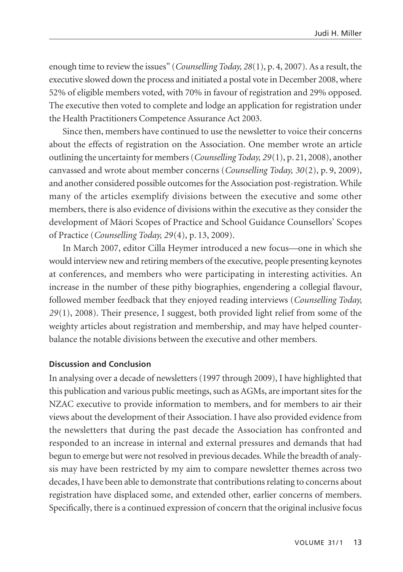enough time to review the issues" (*Counselling Today, 28*(1), p. 4, 2007). As a result, the executive slowed down the process and initiated a postal vote in December 2008, where 52% of eligible members voted, with 70% in favour of registration and 29% opposed. The executive then voted to complete and lodge an application for registration under the Health Practitioners Competence Assurance Act 2003.

Since then, members have continued to use the newsletter to voice their concerns about the effects of registration on the Association. One member wrote an article outlining the uncertainty for members (*Counselling Today, 29*(1), p. 21, 2008), another canvassed and wrote about member concerns (*Counselling Today, 30*(2), p. 9, 2009), and another considered possible outcomes for the Association post-registration. While many of the articles exemplify divisions between the executive and some other members, there is also evidence of divisions within the executive as they consider the development of Mäori Scopes of Practice and School Guidance Counsellors' Scopes of Practice (*Counselling Today, 29*(4), p. 13, 2009).

In March 2007, editor Cilla Heymer introduced a new focus—one in which she would interview new and retiring members of the executive, people presenting keynotes at conferences, and members who were participating in interesting activities. An increase in the number of these pithy biographies, engendering a collegial flavour, followed member feedback that they enjoyed reading interviews (*Counselling Today, 29*(1), 2008). Their presence, I suggest, both provided light relief from some of the weighty articles about registration and membership, and may have helped counter balance the notable divisions between the executive and other members.

# **Discussion and Conclusion**

In analysing over a decade of newsletters (1997 through 2009), I have highlighted that this publication and various public meetings, such as AGMs, are important sites for the NZAC executive to provide information to members, and for members to air their views about the development of their Association. I have also provided evidence from the newsletters that during the past decade the Association has confronted and responded to an increase in internal and external pressures and demands that had begun to emerge but were not resolved in previous decades. While the breadth of analysis may have been restricted by my aim to compare newsletter themes across two decades, I have been able to demonstrate that contributions relating to concerns about registration have displaced some, and extended other, earlier concerns of members. Specifically, there is a continued expression of concern that the original inclusive focus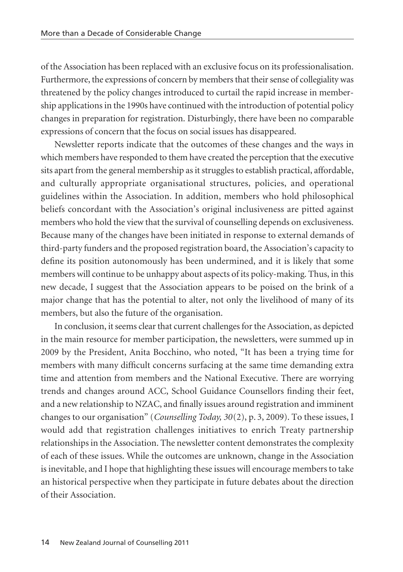of the Association has been replaced with an exclusive focus on its professionalisation. Furthermore, the expressions of concern by members that their sense of collegiality was threatened by the policy changes introduced to curtail the rapid increase in membership applications in the 1990s have continued with the introduction of potential policy changes in preparation for registration. Disturbingly, there have been no comparable expressions of concern that the focus on social issues has disappeared.

Newsletter reports indicate that the outcomes of these changes and the ways in which members have responded to them have created the perception that the executive sits apart from the general membership as it struggles to establish practical, affordable, and culturally appropriate organisational structures, policies, and operational guidelines within the Association. In addition, members who hold philosophical beliefs concordant with the Association's original inclusiveness are pitted against members who hold the view that the survival of counselling depends on exclusiveness. Because many of the changes have been initiated in response to external demands of third-party funders and the proposed registration board, the Association's capacity to define its position autonomously has been undermined, and it is likely that some members will continue to be unhappy about aspects of its policy-making. Thus, in this new decade, I suggest that the Association appears to be poised on the brink of a major change that has the potential to alter, not only the livelihood of many of its members, but also the future of the organisation.

In conclusion, it seems clear that current challenges for the Association, as depicted in the main resource for member participation, the newsletters, were summed up in 2009 by the President, Anita Bocchino, who noted, "It has been a trying time for members with many difficult concerns surfacing at the same time demanding extra time and attention from members and the National Executive. There are worrying trends and changes around ACC, School Guidance Counsellors finding their feet, and a new relationship to NZAC, and finally issues around registration and imminent changes to our organisation" (*Counselling Today, 30*(2), p. 3, 2009). To these issues, I would add that registration challenges initiatives to enrich Treaty partnership relationships in the Association. The newsletter content demonstrates the complexity of each of these issues. While the outcomes are unknown, change in the Association is inevitable, and I hope that highlighting these issues will encourage members to take an historical perspective when they participate in future debates about the direction of their Association.